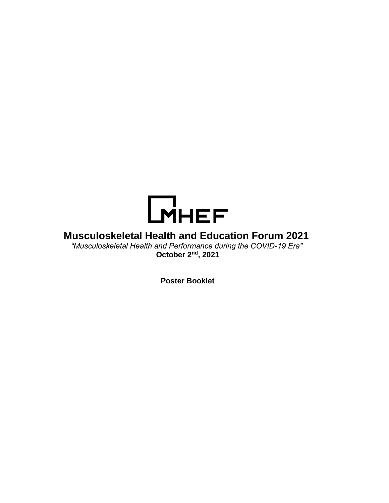

# **Musculoskeletal Health and Education Forum 2021**

*"Musculoskeletal Health and Performance during the COVID-19 Era"* **October 2nd, 2021**

**Poster Booklet**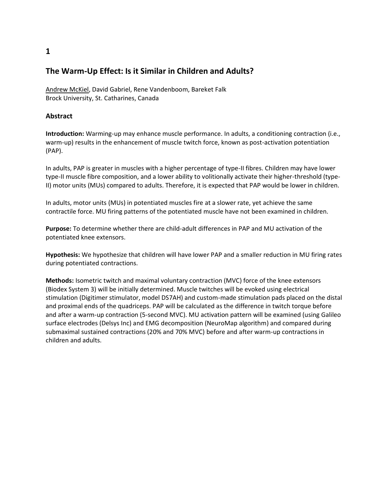### **The Warm-Up Effect: Is it Similar in Children and Adults?**

Andrew McKiel, David Gabriel, Rene Vandenboom, Bareket Falk Brock University, St. Catharines, Canada

#### **Abstract**

**Introduction:** Warming-up may enhance muscle performance. In adults, a conditioning contraction (i.e., warm-up) results in the enhancement of muscle twitch force, known as post-activation potentiation (PAP).

In adults, PAP is greater in muscles with a higher percentage of type-II fibres. Children may have lower type-II muscle fibre composition, and a lower ability to volitionally activate their higher-threshold (type-II) motor units (MUs) compared to adults. Therefore, it is expected that PAP would be lower in children.

In adults, motor units (MUs) in potentiated muscles fire at a slower rate, yet achieve the same contractile force. MU firing patterns of the potentiated muscle have not been examined in children.

**Purpose:** To determine whether there are child-adult differences in PAP and MU activation of the potentiated knee extensors.

**Hypothesis:** We hypothesize that children will have lower PAP and a smaller reduction in MU firing rates during potentiated contractions.

**Methods:** Isometric twitch and maximal voluntary contraction (MVC) force of the knee extensors (Biodex System 3) will be initially determined. Muscle twitches will be evoked using electrical stimulation (Digitimer stimulator, model DS7AH) and custom-made stimulation pads placed on the distal and proximal ends of the quadriceps. PAP will be calculated as the difference in twitch torque before and after a warm-up contraction (5-second MVC). MU activation pattern will be examined (using Galileo surface electrodes (Delsys Inc) and EMG decomposition (NeuroMap algorithm) and compared during submaximal sustained contractions (20% and 70% MVC) before and after warm-up contractions in children and adults.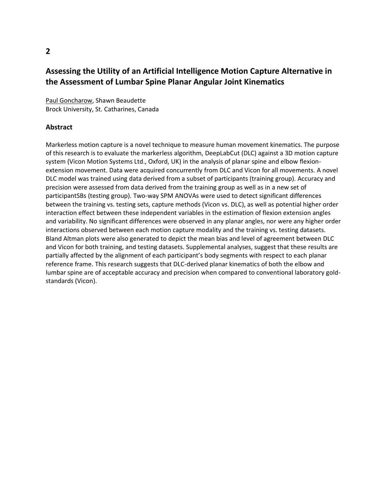### **Assessing the Utility of an Artificial Intelligence Motion Capture Alternative in the Assessment of Lumbar Spine Planar Angular Joint Kinematics**

Paul Goncharow, Shawn Beaudette Brock University, St. Catharines, Canada

#### **Abstract**

Markerless motion capture is a novel technique to measure human movement kinematics. The purpose of this research is to evaluate the markerless algorithm, DeepLabCut (DLC) against a 3D motion capture system (Vicon Motion Systems Ltd., Oxford, UK) in the analysis of planar spine and elbow flexionextension movement. Data were acquired concurrently from DLC and Vicon for all movements. A novel DLC model was trained using data derived from a subset of participants (training group). Accuracy and precision were assessed from data derived from the training group as well as in a new set of participantSBs (testing group). Two-way SPM ANOVAs were used to detect significant differences between the training vs. testing sets, capture methods (Vicon vs. DLC), as well as potential higher order interaction effect between these independent variables in the estimation of flexion extension angles and variability. No significant differences were observed in any planar angles, nor were any higher order interactions observed between each motion capture modality and the training vs. testing datasets. Bland Altman plots were also generated to depict the mean bias and level of agreement between DLC and Vicon for both training, and testing datasets. Supplemental analyses, suggest that these results are partially affected by the alignment of each participant's body segments with respect to each planar reference frame. This research suggests that DLC-derived planar kinematics of both the elbow and lumbar spine are of acceptable accuracy and precision when compared to conventional laboratory goldstandards (Vicon).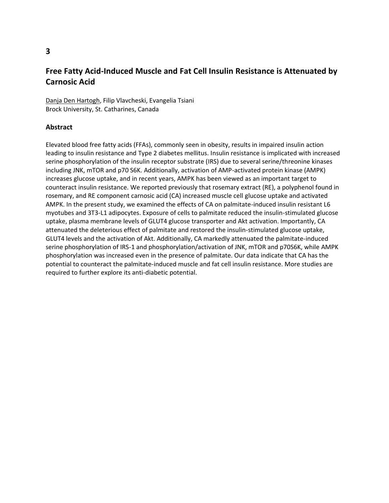### **Free Fatty Acid-Induced Muscle and Fat Cell Insulin Resistance is Attenuated by Carnosic Acid**

Danja Den Hartogh, Filip Vlavcheski, Evangelia Tsiani Brock University, St. Catharines, Canada

#### **Abstract**

Elevated blood free fatty acids (FFAs), commonly seen in obesity, results in impaired insulin action leading to insulin resistance and Type 2 diabetes mellitus. Insulin resistance is implicated with increased serine phosphorylation of the insulin receptor substrate (IRS) due to several serine/threonine kinases including JNK, mTOR and p70 S6K. Additionally, activation of AMP-activated protein kinase (AMPK) increases glucose uptake, and in recent years, AMPK has been viewed as an important target to counteract insulin resistance. We reported previously that rosemary extract (RE), a polyphenol found in rosemary, and RE component carnosic acid (CA) increased muscle cell glucose uptake and activated AMPK. In the present study, we examined the effects of CA on palmitate-induced insulin resistant L6 myotubes and 3T3-L1 adipocytes. Exposure of cells to palmitate reduced the insulin-stimulated glucose uptake, plasma membrane levels of GLUT4 glucose transporter and Akt activation. Importantly, CA attenuated the deleterious effect of palmitate and restored the insulin-stimulated glucose uptake, GLUT4 levels and the activation of Akt. Additionally, CA markedly attenuated the palmitate-induced serine phosphorylation of IRS-1 and phosphorylation/activation of JNK, mTOR and p70S6K, while AMPK phosphorylation was increased even in the presence of palmitate. Our data indicate that CA has the potential to counteract the palmitate-induced muscle and fat cell insulin resistance. More studies are required to further explore its anti-diabetic potential.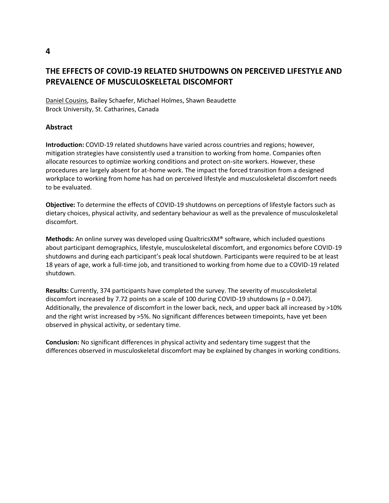#### **4**

### **THE EFFECTS OF COVID-19 RELATED SHUTDOWNS ON PERCEIVED LIFESTYLE AND PREVALENCE OF MUSCULOSKELETAL DISCOMFORT**

Daniel Cousins, Bailey Schaefer, Michael Holmes, Shawn Beaudette Brock University, St. Catharines, Canada

#### **Abstract**

**Introduction:** COVID-19 related shutdowns have varied across countries and regions; however, mitigation strategies have consistently used a transition to working from home. Companies often allocate resources to optimize working conditions and protect on-site workers. However, these procedures are largely absent for at-home work. The impact the forced transition from a designed workplace to working from home has had on perceived lifestyle and musculoskeletal discomfort needs to be evaluated.

**Objective:** To determine the effects of COVID-19 shutdowns on perceptions of lifestyle factors such as dietary choices, physical activity, and sedentary behaviour as well as the prevalence of musculoskeletal discomfort.

**Methods:** An online survey was developed using QualtricsXM® software, which included questions about participant demographics, lifestyle, musculoskeletal discomfort, and ergonomics before COVID-19 shutdowns and during each participant's peak local shutdown. Participants were required to be at least 18 years of age, work a full-time job, and transitioned to working from home due to a COVID-19 related shutdown.

**Results:** Currently, 374 participants have completed the survey. The severity of musculoskeletal discomfort increased by 7.72 points on a scale of 100 during COVID-19 shutdowns ( $p = 0.047$ ). Additionally, the prevalence of discomfort in the lower back, neck, and upper back all increased by >10% and the right wrist increased by >5%. No significant differences between timepoints, have yet been observed in physical activity, or sedentary time.

**Conclusion:** No significant differences in physical activity and sedentary time suggest that the differences observed in musculoskeletal discomfort may be explained by changes in working conditions.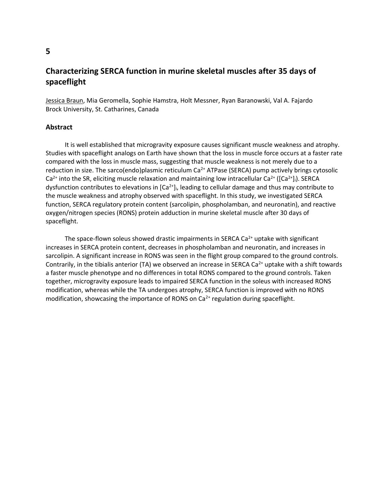### **Characterizing SERCA function in murine skeletal muscles after 35 days of spaceflight**

Jessica Braun, Mia Geromella, Sophie Hamstra, Holt Messner, Ryan Baranowski, Val A. Fajardo Brock University, St. Catharines, Canada

#### **Abstract**

It is well established that microgravity exposure causes significant muscle weakness and atrophy. Studies with spaceflight analogs on Earth have shown that the loss in muscle force occurs at a faster rate compared with the loss in muscle mass, suggesting that muscle weakness is not merely due to a reduction in size. The sarco(endo)plasmic reticulum Ca<sup>2+</sup> ATPase (SERCA) pump actively brings cytosolic  $Ca^{2+}$  into the SR, eliciting muscle relaxation and maintaining low intracellular Ca<sup>2+</sup> ( $[Ca^{2+}]\text{]}$ . SERCA dysfunction contributes to elevations in  $[Ca<sup>2+</sup>]$ , leading to cellular damage and thus may contribute to the muscle weakness and atrophy observed with spaceflight. In this study, we investigated SERCA function, SERCA regulatory protein content (sarcolipin, phospholamban, and neuronatin), and reactive oxygen/nitrogen species (RONS) protein adduction in murine skeletal muscle after 30 days of spaceflight.

The space-flown soleus showed drastic impairments in SERCA Ca $2+$  uptake with significant increases in SERCA protein content, decreases in phospholamban and neuronatin, and increases in sarcolipin. A significant increase in RONS was seen in the flight group compared to the ground controls. Contrarily, in the tibialis anterior (TA) we observed an increase in SERCA Ca<sup>2+</sup> uptake with a shift towards a faster muscle phenotype and no differences in total RONS compared to the ground controls. Taken together, microgravity exposure leads to impaired SERCA function in the soleus with increased RONS modification, whereas while the TA undergoes atrophy, SERCA function is improved with no RONS modification, showcasing the importance of RONS on Ca<sup>2+</sup> regulation during spaceflight.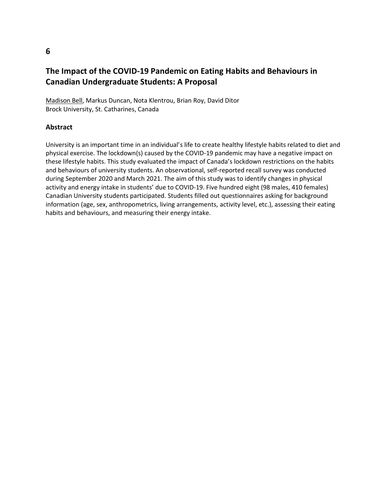## **The Impact of the COVID-19 Pandemic on Eating Habits and Behaviours in Canadian Undergraduate Students: A Proposal**

Madison Bell, Markus Duncan, Nota Klentrou, Brian Roy, David Ditor Brock University, St. Catharines, Canada

### **Abstract**

University is an important time in an individual's life to create healthy lifestyle habits related to diet and physical exercise. The lockdown(s) caused by the COVID-19 pandemic may have a negative impact on these lifestyle habits. This study evaluated the impact of Canada's lockdown restrictions on the habits and behaviours of university students. An observational, self-reported recall survey was conducted during September 2020 and March 2021. The aim of this study was to identify changes in physical activity and energy intake in students' due to COVID-19. Five hundred eight (98 males, 410 females) Canadian University students participated. Students filled out questionnaires asking for background information (age, sex, anthropometrics, living arrangements, activity level, etc.), assessing their eating habits and behaviours, and measuring their energy intake.